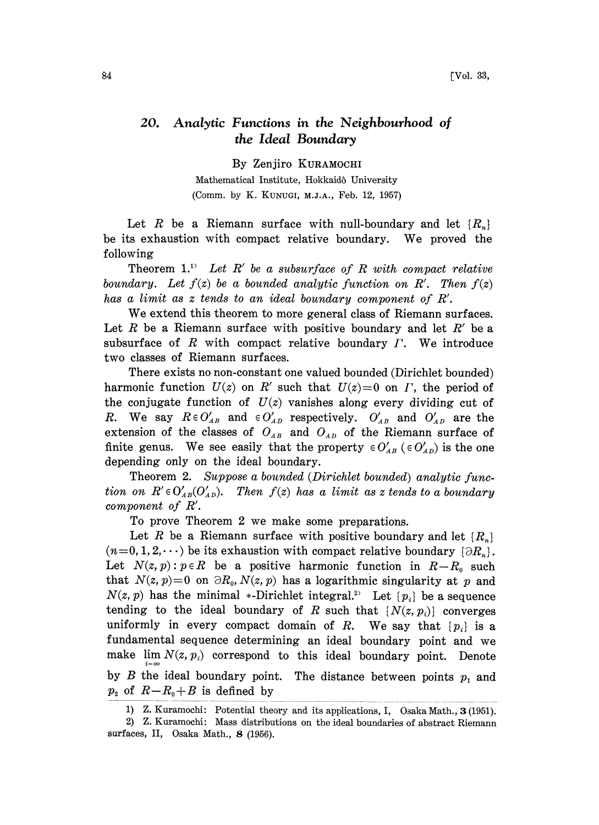## 20. Analytic Functions in the Neighbourhood of the Ideal Boundary

By Zenjiro KURAMOCHI

Mathematical Institute, Hokkaid6 University (Comm. by K. KUNUGI, M.J.A., Feb. 12, 1957)

Let R be a Riemann surface with null-boundary and let  $\{R_n\}$ be its exhaustion with compact relative boundary. We proved the following

Theorem 1.<sup>1)</sup> Let R' be a subsurface of R with compact relative boundary. Let  $f(z)$  be a bounded analytic function on R'. Then  $f(z)$ has a limit as <sup>z</sup> tends to an ideal boundary component of R'.

We extend this theorem to more general class of Riemann surfaces. Let R be a Riemann surface with positive boundary and let  $R'$  be a subsurface of  $R$  with compact relative boundary  $\Gamma$ . We introduce two classes of Riemann surfaces.

There exists no non-constant one valued bounded (Dirichlet bounded) harmonic function  $U(z)$  on R' such that  $U(z)=0$  on  $\Gamma$ , the period of the conjugate function of  $U(z)$  vanishes along every dividing cut of R. We say  $R \in O'_{AB}$  and  $\in O'_{AD}$  respectively.  $O'_{AB}$  and  $O'_{AD}$  are the extension of the classes of  $O_{AB}$  and  $O_{AD}$  of the Riemann surface of finite genus. We see easily that the property  $\in O'_{AB}$  ( $\in O'_{AD}$ ) is the one depending only on the ideal boundary.

Theorem 2. Suppose a bounded (Dirichlet bounded) analytic function on  $R' \in O'_{AB}(O'_{AD})$ . Then  $f(z)$  has a limit as z tends to a boundary component of R'.

To prove Theorem 2 we make some preparations.

Let R be a Riemann surface with positive boundary and let  $\{R_n\}$  $(n=0, 1, 2,\dots)$  be its exhaustion with compact relative boundary  $\{\partial R_n\}.$ Let  $N(z, p)$ :  $p \in R$  be a positive harmonic function in  $R-R_0$  such that  $N(z, p)=0$  on  $\partial R_0, N(z, p)$  has a logarithmic singularity at p and  $N(z, p)$  has the minimal \*-Dirichlet integral.<sup>23</sup> Let  $\{p_i\}$  be a sequence tending to the ideal boundary of R such that  $\{N(z, p_i)\}$  converges uniformly in every compact domain of R. We say that  $\{p_i\}$  is a fundamental sequence determining an ideal boundary point and we make  $\lim_{i=\infty} N(z,p_i)$  correspond to this ideal boundary point. Denote by  $B$  the ideal boundary point. The distance between points  $p_1$  and  $p_2$  of  $R-R_0+B$  is defined by

1) Z. Kuramochi: Potential theory and its applications, I, Osaka Math., 3 (1951).

<sup>2)</sup> Z. Kuramochi: Mass distributions on the ideal boundaries of abstract Riemann surfaces, II, Osaka Math., 8 (1956).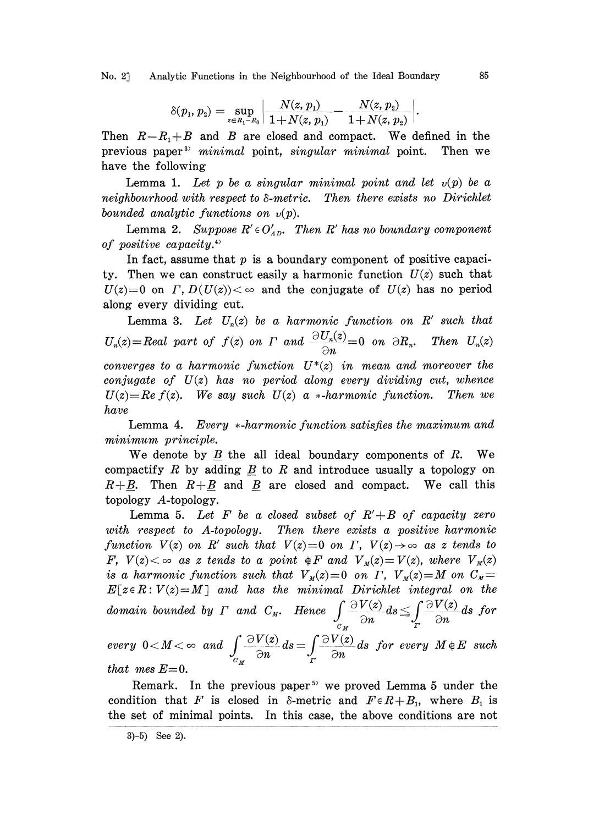No. 2] Analytic Functions in the Neighbourhood of the Ideal Boundary 85

$$
\delta(p_1, p_2) = \sup_{z \in R_1 - R_0} \left| \frac{N(z, p_1)}{1 + N(z, p_1)} - \frac{N(z, p_2)}{1 + N(z, p_2)} \right|.
$$

Then  $R-R_1+B$  and B are closed and compact. We defined in the previous paper<sup>3</sup> minimal point, singular minimal point. Then we have the following

Lemma 1. Let p be a singular minimal point and let  $v(p)$  be a neighbourhood with respect to  $\delta$ -metric. Then there exists no Dirichlet bounded analytic functions on  $v(p)$ .

Lemma 2. Suppose  $R' \in O_{AD}'$ . Then R' has no boundary component of positive capacity.

In fact, assume that  $p$  is a boundary component of positive capacity. Then we can construct easily a harmonic function  $U(z)$  such that  $U(z)=0$  on  $\Gamma$ ,  $D(U(z))<\infty$  and the conjugate of  $U(z)$  has no period along every dividing cut.

Lemma 3. Let  $U_n(z)$  be a harmonic function on R' such that  $U_n(z) = Real$  part of  $f(z)$  on  $\Gamma$  and  $\frac{\partial U_n(z)}{\partial n} = 0$  on  $\partial R_n$ . Then  $U_n(z)$ converges to a harmonic function  $U^*(z)$  in mean and moreover the conjugate of  $U(z)$  has no period along every dividing cut, whence  $U(z) = Re f(z)$ . We say such  $U(z)$  a \*-harmonic function. Then we have

Lemma 4. Every  $*$ -harmonic function satisfies the maximum and minimum principle.

We denote by  $B$  the all ideal boundary components of  $R$ . We compactify R by adding  $\underline{B}$  to R and introduce usually a topology on  $R+B$ . Then  $R+B$  and B are closed and compact. We call this topology A-topology.

Lemma 5. Let F be a closed subset of  $R' + B$  of capacity zero with respect to A-topology. Then there exists a positive harmonic function  $V(z)$  on  $R'$  such that  $V(z)=0$  on  $\Gamma$ ,  $V(z)\rightarrow\infty$  as z tends to F,  $V(z) < \infty$  as z tends to a point  $\oint F$  and  $V_{M}(z) = V(z)$ , where  $V_{M}(z)$ is a harmonic function such that  $V_{\mu}(z)=0$  on  $\Gamma$ ,  $V_{\mu}(z)=M$  on  $C_{\mu}=$  $E[z \in R : V(z) = M]$  and has the minimal Dirichlet integral on the domain bounded by  $\Gamma$  and  $C_M$ . Hence  $\int_{a} \frac{\partial V(z)}{\partial n} ds \leq \int_{\Gamma} \frac{\partial V(z)}{\partial n}$  $\frac{V(z)}{\partial n}ds \leq \int_{\Gamma} \frac{\partial V(z)}{\partial n}ds$  for<br>ds for every  $M \notin E$  such  $C_M$ every  $0 < M < \infty$  and  $\int_{C} \frac{\partial V(z)}{\partial n} ds = \int_{T} \frac{\partial V(z)}{\partial n} ds$  for every  $M \notin E$  such that mes  $E=0$ .

Remark. In the previous paper<sup>5)</sup> we proved Lemma 5 under the condition that F is closed in  $\delta$ -metric and  $F \in R+B_1$ , where  $B_1$  is the set of minimal points. In this case, the above conditions are not

<sup>3)-5)</sup> See 2).